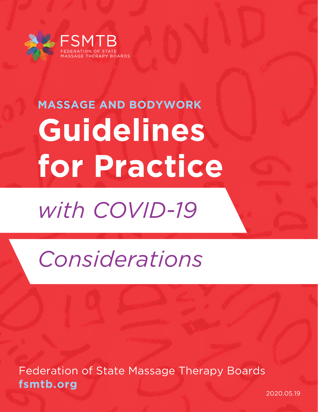

# **Guidelines for Practice MASSAGE AND BODYWORK**

# *with COVID-19*

# *Considerations*

Federation of State Massage Therapy Boards **fsmtb.org**

2020.05.19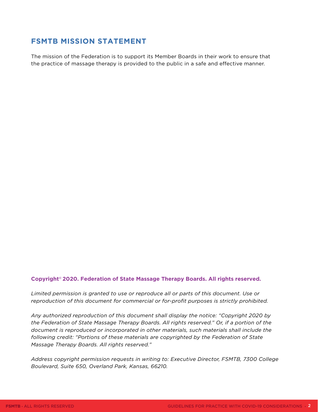### **FSMTB MISSION STATEMENT**

The mission of the Federation is to support its Member Boards in their work to ensure that the practice of massage therapy is provided to the public in a safe and effective manner.

#### **Copyright© 2020. Federation of State Massage Therapy Boards. All rights reserved.**

*Limited permission is granted to use or reproduce all or parts of this document. Use or reproduction of this document for commercial or for-profit purposes is strictly prohibited.* 

*Any authorized reproduction of this document shall display the notice: "Copyright 2020 by the Federation of State Massage Therapy Boards. All rights reserved." Or, if a portion of the document is reproduced or incorporated in other materials, such materials shall include the following credit: "Portions of these materials are copyrighted by the Federation of State Massage Therapy Boards. All rights reserved."*

*Address copyright permission requests in writing to: Executive Director, FSMTB, 7300 College Boulevard, Suite 650, Overland Park, Kansas, 66210.*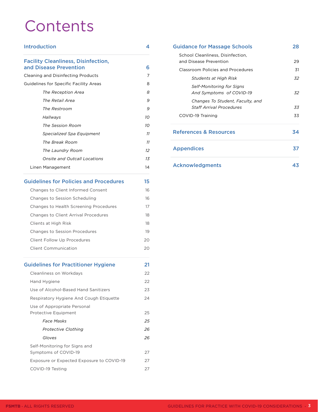## **Contents**

#### [Introduction 4](#page-3-0)

#### [Facility Cleanliness, Disinfection,](#page-5-0)  [and Disease Prevention 6](#page-5-0)

| <b>Cleaning and Disinfecting Products</b> | 7  |
|-------------------------------------------|----|
| Guidelines for Specific Facility Areas    | 8  |
| The Reception Area                        | 8  |
| The Retail Area                           | 9  |
| The Restroom                              | 9  |
| Hallways                                  | 10 |
| The Session Room                          | 10 |
| Specialized Spa Equipment                 | 11 |
| The Break Room                            | 11 |
| The Laundry Room                          | 12 |
| Onsite and Outcall Locations              | 13 |
| Linen Management                          | 14 |

#### [Guidelines for Policies and Procedures](#page-14-0) 15

| Changes to Client Informed Consent     | 16 |
|----------------------------------------|----|
| Changes to Session Scheduling          | 16 |
| Changes to Health Screening Procedures | 17 |
| Changes to Client Arrival Procedures   | 18 |
| Clients at High Risk                   | 18 |
| <b>Changes to Session Procedures</b>   | 19 |
| Client Follow Up Procedures            | 20 |
| Client Communication                   | 20 |

#### [Guidelines for Practitioner Hygiene](#page-20-0) 21

| Cleanliness on Workdays                               | 22 |
|-------------------------------------------------------|----|
| Hand Hygiene                                          | 22 |
| Use of Alcohol-Based Hand Sanitizers                  | 23 |
| Respiratory Hygiene And Cough Etiquette               | 24 |
| Use of Appropriate Personal<br>Protective Equipment   | 25 |
| Face Masks                                            | 25 |
| <b>Protective Clothing</b>                            | 26 |
| Gloves                                                | 26 |
| Self-Monitoring for Signs and<br>Symptoms of COVID-19 | 27 |
| Exposure or Expected Exposure to COVID-19             | 27 |
| COVID-19 Testing                                      | 27 |

| <b>Guidance for Massage Schools</b><br>School Cleanliness, Disinfection,<br>and Disease Prevention | 28<br>29 |
|----------------------------------------------------------------------------------------------------|----------|
|                                                                                                    |          |
| Students at High Risk                                                                              | 32.      |
| Self-Monitoring for Signs<br>And Symptoms of COVID-19                                              | 32       |
| Changes To Student, Faculty, and<br><b>Staff Arrival Procedures</b>                                | 33       |
| COVID-19 Training                                                                                  | 33       |
| References & Resources                                                                             | 34       |
| <b>Appendices</b>                                                                                  | 37       |
| <b>Acknowledgments</b>                                                                             | 43       |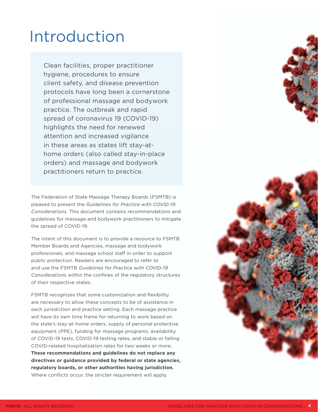## <span id="page-3-0"></span>Introduction

Clean facilities, proper practitioner hygiene, procedures to ensure client safety, and disease prevention protocols have long been a cornerstone of professional massage and bodywork practice. The outbreak and rapid spread of coronavirus 19 (COVID-19) highlights the need for renewed attention and increased vigilance in these areas as states lift stay-athome orders (also called stay-in-place orders) and massage and bodywork practitioners return to practice.

The Federation of State Massage Therapy Boards (FSMTB) is pleased to present the *Guidelines for Practice with COVID-19 Considerations.* This document contains recommendations and guidelines for massage and bodywork practitioners to mitigate the spread of COVID-19.

The intent of this document is to provide a resource to FSMTB Member Boards and Agencies, massage and bodywork professionals, and massage school staff in order to support public protection. Readers are encouraged to refer to and use the FSMTB *Guidelines for Practice with COVID-19 Considerations* within the confines of the regulatory structures of their respective states.

FSMTB recognizes that some customization and flexibility are necessary to allow these concepts to be of assistance in each jurisdiction and practice setting. Each massage practice will have its own time frame for returning to work based on the state's stay-at-home orders, supply of personal protective equipment (PPE), funding for massage programs, availability of COVID-19 tests, COVID-19 testing rates, and stable or falling COVID-related hospitalization rates for two weeks or more. **These recommendations and guidelines do not replace any directives or guidance provided by federal or state agencies, regulatory boards, or other authorities having jurisdiction.**  Where conflicts occur, the stricter requirement will apply.

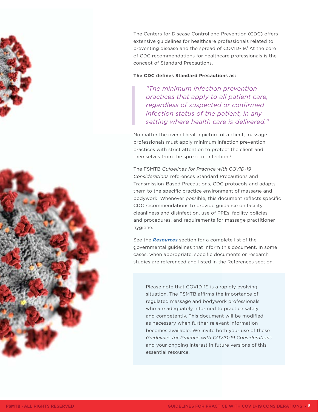The Centers for Disease Control and Prevention (CDC) offers extensive guidelines for healthcare professionals related to preventing disease and the spread of COVID-19.<sup>1</sup> At the core of CDC recommendations for healthcare professionals is the concept of Standard Precautions.

#### **The CDC defines Standard Precautions as:**

*"The minimum infection prevention practices that apply to all patient care, regardless of suspected or confirmed infection status of the patient, in any setting where health care is delivered."* 

No matter the overall health picture of a client, massage professionals must apply minimum infection prevention practices with strict attention to protect the client and themselves from the spread of infection.<sup>2</sup>

The FSMTB *Guidelines for Practice with COVID-19 Considerations* references Standard Precautions and Transmission-Based Precautions, CDC protocols and adapts them to the specific practice environment of massage and bodywork. Whenever possible, this document reflects specific CDC recommendations to provide guidance on facility cleanliness and disinfection, use of PPEs, facility policies and procedures, and requirements for massage practitioner hygiene.

See the *[Resources](#page-34-0)* section for a complete list of the governmental guidelines that inform this document. In some cases, when appropriate, specific documents or research studies are referenced and listed in the References section.

Please note that COVID-19 is a rapidly evolving situation. The FSMTB affirms the importance of regulated massage and bodywork professionals who are adequately informed to practice safely and competently. This document will be modified as necessary when further relevant information becomes available. We invite both your use of these *Guidelines for Practice with COVID-19 Considerations* and your ongoing interest in future versions of this essential resource.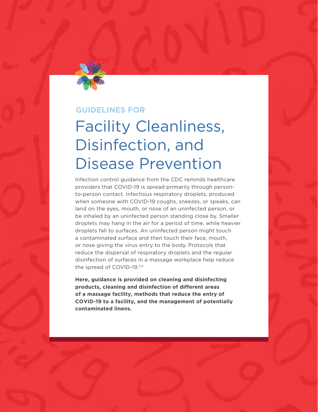<span id="page-5-0"></span>

### **GUIDELINES FOR**

## Facility Cleanliness, Disinfection, and Disease Prevention

Infection control guidance from the CDC reminds healthcare providers that COVID-19 is spread primarily through personto-person contact. Infectious respiratory droplets, produced when someone with COVID-19 coughs, sneezes, or speaks, can land on the eyes, mouth, or nose of an uninfected person, or be inhaled by an uninfected person standing close by. Smaller droplets may hang in the air for a period of time, while heavier droplets fall to surfaces. An uninfected person might touch a contaminated surface and then touch their face, mouth, or nose giving the virus entry to the body. Protocols that reduce the dispersal of respiratory droplets and the regular disinfection of surfaces in a massage workplace help reduce the spread of COVID-19.<sup>3,4</sup>

**Here, guidance is provided on cleaning and disinfecting products, cleaning and disinfection of different areas of a massage facility, methods that reduce the entry of COVID-19 to a facility, and the management of potentially contaminated linens.**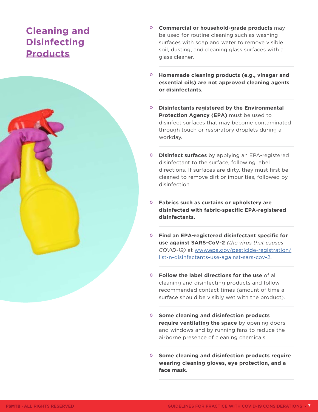## <span id="page-6-0"></span>**Cleaning and Disinfecting Products**



- » **Homemade cleaning products (e.g., vinegar and essential oils) are not approved cleaning agents or disinfectants.**
- » **Disinfectants registered by the Environmental Protection Agency (EPA)** must be used to disinfect surfaces that may become contaminated through touch or respiratory droplets during a workday.
- » **Disinfect surfaces** by applying an EPA-registered disinfectant to the surface, following label directions. If surfaces are dirty, they must first be cleaned to remove dirt or impurities, followed by disinfection.
- » **Fabrics such as curtains or upholstery are disinfected with fabric-specific EPA-registered disinfectants.**
- » **Find an EPA-registered disinfectant specific for use against SARS-CoV-2** *(the virus that causes COVID-19)* at [www.epa.gov/pesticide-registration/](http://www.epa.gov/pesticide-registration/list-n-disinfectants-use-against-sars-cov-2) [list-n-disinfectants-use-against-sars-cov-2.](http://www.epa.gov/pesticide-registration/list-n-disinfectants-use-against-sars-cov-2)
- » **Follow the label directions for the use** of all cleaning and disinfecting products and follow recommended contact times (amount of time a surface should be visibly wet with the product).
- » **Some cleaning and disinfection products require ventilating the space** by opening doors and windows and by running fans to reduce the airborne presence of cleaning chemicals.
- » **Some cleaning and disinfection products require wearing cleaning gloves, eye protection, and a face mask.**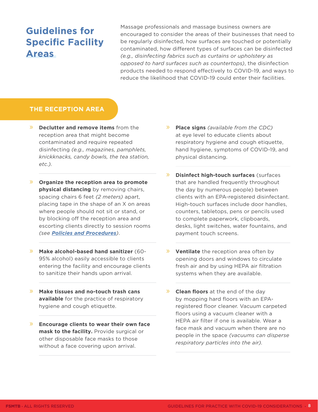## <span id="page-7-0"></span>**Guidelines for Specific Facility Areas**

Massage professionals and massage business owners are encouraged to consider the areas of their businesses that need to be regularly disinfected, how surfaces are touched or potentially contaminated, how different types of surfaces can be disinfected *(e.g., disinfecting fabrics such as curtains or upholstery as opposed to hard surfaces such as countertops)*, the disinfection products needed to respond effectively to COVID-19, and ways to reduce the likelihood that COVID-19 could enter their facilities.

#### **THE RECEPTION AREA**

- » **Declutter and remove items** from the reception area that might become contaminated and require repeated disinfecting *(e.g., magazines, pamphlets, knickknacks, candy bowls, the tea station, etc.).*
- » **Organize the reception area to promote physical distancing** by removing chairs, spacing chairs 6 feet *(2 meters)* apart, placing tape in the shape of an X on areas where people should not sit or stand, or by blocking off the reception area and escorting clients directly to session rooms *(see [Policies and Procedures](#page-14-0))*.
- » **Make alcohol-based hand sanitizer** (60- 95% alcohol) easily accessible to clients entering the facility and encourage clients to sanitize their hands upon arrival.
- » **Make tissues and no-touch trash cans available** for the practice of respiratory hygiene and cough etiquette.
- » **Encourage clients to wear their own face mask to the facility.** Provide surgical or other disposable face masks to those without a face covering upon arrival.
- » **Place signs** *(available from the CDC)*  at eye level to educate clients about respiratory hygiene and cough etiquette, hand hygiene, symptoms of COVID-19, and physical distancing.
- » **Disinfect high-touch surfaces** (surfaces that are handled frequently throughout the day by numerous people) between clients with an EPA-registered disinfectant. High-touch surfaces include door handles, counters, tabletops, pens or pencils used to complete paperwork, clipboards, desks, light switches, water fountains, and payment touch screens.
- » **Ventilate** the reception area often by opening doors and windows to circulate fresh air and by using HEPA air filtration systems when they are available.
- » **Clean floors** at the end of the day by mopping hard floors with an EPAregistered floor cleaner. Vacuum carpeted floors using a vacuum cleaner with a HEPA air filter if one is available. Wear a face mask and vacuum when there are no people in the space *(vacuums can disperse respiratory particles into the air).*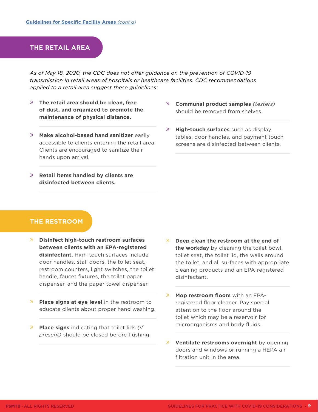#### <span id="page-8-0"></span>**THE RETAIL AREA**

*As of May 18, 2020, the CDC does not offer guidance on the prevention of COVID-19 transmission in retail areas of hospitals or healthcare facilities. CDC recommendations applied to a retail area suggest these guidelines:* 

- » **The retail area should be clean, free of dust, and organized to promote the maintenance of physical distance.**
- » **Make alcohol-based hand sanitizer** easily accessible to clients entering the retail area. Clients are encouraged to sanitize their hands upon arrival.
- » **Retail items handled by clients are disinfected between clients.**
- » **Communal product samples** *(testers)*  should be removed from shelves.
- » **High-touch surfaces** such as display tables, door handles, and payment touch screens are disinfected between clients.

#### **THE RESTROOM**

- » **Disinfect high-touch restroom surfaces between clients with an EPA-registered disinfectant.** High-touch surfaces include door handles, stall doors, the toilet seat, restroom counters, light switches, the toilet handle, faucet fixtures, the toilet paper dispenser, and the paper towel dispenser.
- » **Place signs at eye level** in the restroom to educate clients about proper hand washing.
- » **Place signs** indicating that toilet lids *(if present)* should be closed before flushing.
- » **Deep clean the restroom at the end of the workday** by cleaning the toilet bowl, toilet seat, the toilet lid, the walls around the toilet, and all surfaces with appropriate cleaning products and an EPA-registered disinfectant.
- » **Mop restroom floors** with an EPAregistered floor cleaner. Pay special attention to the floor around the toilet which may be a reservoir for microorganisms and body fluids.
- » **Ventilate restrooms overnight** by opening doors and windows or running a HEPA air filtration unit in the area.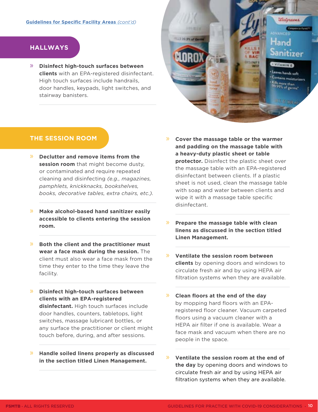#### <span id="page-9-0"></span>**HALLWAYS**

» **Disinfect high-touch surfaces between clients** with an EPA-registered disinfectant. High touch surfaces include handrails, door handles, keypads, light switches, and stairway banisters.

#### **THE SESSION ROOM**

- » **Declutter and remove items from the session room** that might become dusty, or contaminated and require repeated cleaning and disinfecting *(e.g., magazines, pamphlets, knickknacks, bookshelves, books, decorative tables, extra chairs, etc.).*
- » **Make alcohol-based hand sanitizer easily accessible to clients entering the session room.**
- » **Both the client and the practitioner must wear a face mask during the session.** The client must also wear a face mask from the time they enter to the time they leave the facility.
- » **Disinfect high-touch surfaces between clients with an EPA-registered disinfectant.** High touch surfaces include door handles, counters, tabletops, light switches, massage lubricant bottles, or any surface the practitioner or client might touch before, during, and after sessions.
- » **Handle soiled linens properly as discussed in the section titled Linen Management.**

» **Cover the massage table or the warmer and padding on the massage table with a heavy-duty plastic sheet or table protector.** Disinfect the plastic sheet over the massage table with an EPA-registered disinfectant between clients. If a plastic sheet is not used, clean the massage table with soap and water between clients and wipe it with a massage table specific disinfectant.

Deference

iand

Sanitizer

 $0.7800$ 

**VITAMINE** ts hands unfo Contains moisturizers **Str.than** 

- » **Prepare the massage table with clean linens as discussed in the section titled Linen Management.**
- » **Ventilate the session room between clients** by opening doors and windows to circulate fresh air and by using HEPA air filtration systems when they are available.
- » **Clean floors at the end of the day** by mopping hard floors with an EPAregistered floor cleaner. Vacuum carpeted floors using a vacuum cleaner with a HEPA air filter if one is available. Wear a face mask and vacuum when there are no people in the space.
- » **Ventilate the session room at the end of the day** by opening doors and windows to circulate fresh air and by using HEPA air filtration systems when they are available.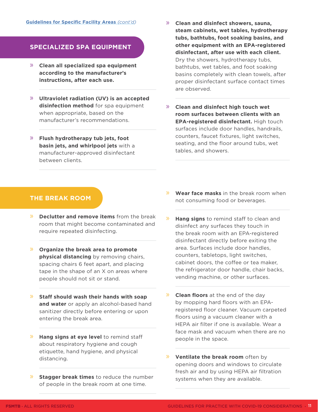#### <span id="page-10-0"></span>**SPECIALIZED SPA EQUIPMENT**

- » **Clean all specialized spa equipment according to the manufacturer's instructions, after each use.**
- » **Ultraviolet radiation (UV) is an accepted disinfection method** for spa equipment when appropriate, based on the manufacturer's recommendations.
- » **Flush hydrotherapy tub jets, foot basin jets, and whirlpool jets** with a manufacturer-approved disinfectant between clients.
- » **Clean and disinfect showers, sauna, steam cabinets, wet tables, hydrotherapy tubs, bathtubs, foot soaking basins, and other equipment with an EPA-registered disinfectant, after use with each client.**  Dry the showers, hydrotherapy tubs, bathtubs, wet tables, and foot soaking basins completely with clean towels, after proper disinfectant surface contact times are observed.
- » **Clean and disinfect high touch wet room surfaces between clients with an EPA-registered disinfectant.** High touch surfaces include door handles, handrails, counters, faucet fixtures, light switches, seating, and the floor around tubs, wet tables, and showers.

#### **THE BREAK ROOM**

- » **Declutter and remove items** from the break room that might become contaminated and require repeated disinfecting.
- » **Organize the break area to promote physical distancing** by removing chairs, spacing chairs 6 feet apart, and placing tape in the shape of an X on areas where people should not sit or stand.
- » **Staff should wash their hands with soap and water** or apply an alcohol-based hand sanitizer directly before entering or upon entering the break area.
- » **Hang signs at eye level** to remind staff about respiratory hygiene and cough etiquette, hand hygiene, and physical distancing.
- » **Stagger break times** to reduce the number of people in the break room at one time.
- » **Wear face masks** in the break room when not consuming food or beverages.
- **Hang signs** to remind staff to clean and disinfect any surfaces they touch in the break room with an EPA-registered disinfectant directly before exiting the area. Surfaces include door handles, counters, tabletops, light switches, cabinet doors, the coffee or tea maker, the refrigerator door handle, chair backs, vending machine, or other surfaces.
- » **Clean floors** at the end of the day by mopping hard floors with an EPAregistered floor cleaner. Vacuum carpeted floors using a vacuum cleaner with a HEPA air filter if one is available. Wear a face mask and vacuum when there are no people in the space.
- » **Ventilate the break room** often by opening doors and windows to circulate fresh air and by using HEPA air filtration systems when they are available.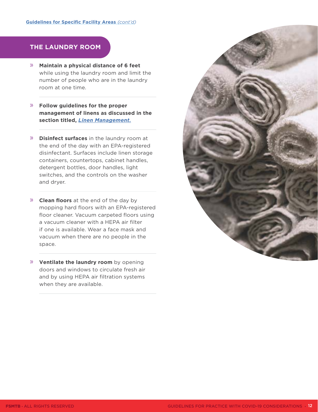#### <span id="page-11-0"></span>**THE LAUNDRY ROOM**

- » **Maintain a physical distance of 6 feet**  while using the laundry room and limit the number of people who are in the laundry room at one time.
- » **Follow guidelines for the proper management of linens as discussed in the section titled,** *[Linen Management](#page-13-0).*
- » **Disinfect surfaces** in the laundry room at the end of the day with an EPA-registered disinfectant. Surfaces include linen storage containers, countertops, cabinet handles, detergent bottles, door handles, light switches, and the controls on the washer and dryer.
- » **Clean floors** at the end of the day by mopping hard floors with an EPA-registered floor cleaner. Vacuum carpeted floors using a vacuum cleaner with a HEPA air filter if one is available. Wear a face mask and vacuum when there are no people in the space.
- » **Ventilate the laundry room** by opening doors and windows to circulate fresh air and by using HEPA air filtration systems when they are available.

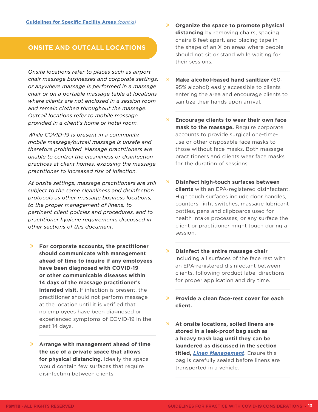#### <span id="page-12-0"></span>**ONSITE AND OUTCALL LOCATIONS**

*Onsite locations refer to places such as airport chair massage businesses and corporate settings, or anywhere massage is performed in a massage chair or on a portable massage table at locations where clients are not enclosed in a session room and remain clothed throughout the massage. Outcall locations refer to mobile massage provided in a client's home or hotel room.* 

*While COVID-19 is present in a community, mobile massage/outcall massage is unsafe and therefore prohibited. Massage practitioners are unable to control the cleanliness or disinfection practices at client homes, exposing the massage practitioner to increased risk of infection.* 

*At onsite settings, massage practitioners are still subject to the same cleanliness and disinfection protocols as other massage business locations, to the proper management of linens, to pertinent client policies and procedures, and to practitioner hygiene requirements discussed in other sections of this document.* 

- » **For corporate accounts, the practitioner should communicate with management ahead of time to inquire if any employees have been diagnosed with COVID-19 or other communicable diseases within 14 days of the massage practitioner's intended visit.** If infection is present, the practitioner should not perform massage at the location until it is verified that no employees have been diagnosed or experienced symptoms of COVID-19 in the past 14 days.
- » **Arrange with management ahead of time the use of a private space that allows for physical distancing.** Ideally the space would contain few surfaces that require disinfecting between clients.
- » **Organize the space to promote physical distancing** by removing chairs, spacing chairs 6 feet apart, and placing tape in the shape of an X on areas where people should not sit or stand while waiting for their sessions.
- » **Make alcohol-based hand sanitizer** (60- 95% alcohol) easily accessible to clients entering the area and encourage clients to sanitize their hands upon arrival.
- » **Encourage clients to wear their own face mask to the massage.** Require corporate accounts to provide surgical one-timeuse or other disposable face masks to those without face masks. Both massage practitioners and clients wear face masks for the duration of sessions.
- » **Disinfect high-touch surfaces between clients** with an EPA-registered disinfectant. High touch surfaces include door handles, counters, light switches, massage lubricant bottles, pens and clipboards used for health intake processes, or any surface the client or practitioner might touch during a session.
- » **Disinfect the entire massage chair**  including all surfaces of the face rest with an EPA-registered disinfectant between clients, following product label directions for proper application and dry time.
- » **Provide a clean face-rest cover for each client.**
- » **At onsite locations, soiled linens are stored in a leak-proof bag such as a heavy trash bag until they can be laundered as discussed in the section titled,** *[Linen Management](#page-13-0)*. Ensure this bag is carefully sealed before linens are transported in a vehicle.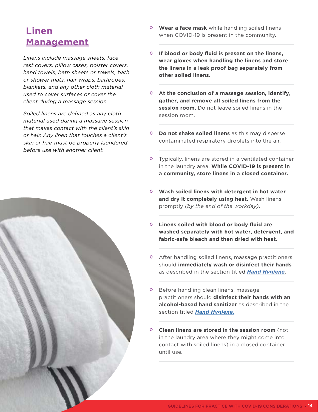## <span id="page-13-0"></span>**Linen Management**

*Linens include massage sheets, facerest covers, pillow cases, bolster covers, hand towels, bath sheets or towels, bath or shower mats, hair wraps, bathrobes, blankets, and any other cloth material used to cover surfaces or cover the client during a massage session.* 

*Soiled linens are defined as any cloth material used during a massage session that makes contact with the client's skin or hair. Any linen that touches a client's skin or hair must be properly laundered before use with another client.* 



- » **Wear a face mask** while handling soiled linens when COVID-19 is present in the community.
- » **If blood or body fluid is present on the linens, wear gloves when handling the linens and store the linens in a leak proof bag separately from other soiled linens.**
- » **At the conclusion of a massage session, identify, gather, and remove all soiled linens from the session room.** Do not leave soiled linens in the session room.
- » **Do not shake soiled linens** as this may disperse contaminated respiratory droplets into the air.
- » Typically, linens are stored in a ventilated container in the laundry area. **While COVID-19 is present in a community, store linens in a closed container.**
- » **Wash soiled linens with detergent in hot water and dry it completely using heat.** Wash linens promptly *(by the end of the workday)*.
- » **Linens soiled with blood or body fluid are washed separately with hot water, detergent, and fabric-safe bleach and then dried with heat.**
- » After handling soiled linens, massage practitioners should **immediately wash or disinfect their hands** as described in the section titled *[Hand Hygiene](#page-21-0)*.
- » Before handling clean linens, massage practitioners should **disinfect their hands with an alcohol-based hand sanitizer** as described in the section titled *[Hand Hygiene.](#page-21-0)*
- » **Clean linens are stored in the session room** (not in the laundry area where they might come into contact with soiled linens) in a closed container until use.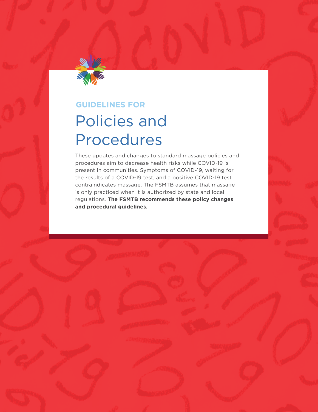<span id="page-14-0"></span>

### **GUIDELINES FOR**

## Policies and Procedures

These updates and changes to standard massage policies and procedures aim to decrease health risks while COVID-19 is present in communities. Symptoms of COVID-19, waiting for the results of a COVID-19 test, and a positive COVID-19 test contraindicates massage. The FSMTB assumes that massage is only practiced when it is authorized by state and local regulations. **The FSMTB recommends these policy changes and procedural guidelines.**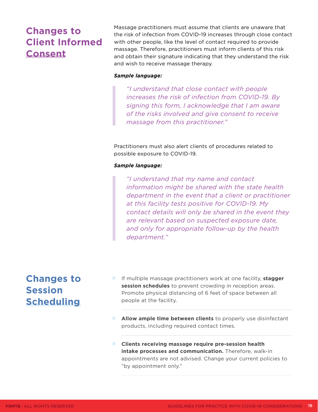## <span id="page-15-0"></span>**Changes to Client Informed Consent**

Massage practitioners must assume that clients are unaware that the risk of infection from COVID-19 increases through close contact with other people, like the level of contact required to provide massage. Therefore, practitioners must inform clients of this risk and obtain their signature indicating that they understand the risk and wish to receive massage therapy.

#### *Sample language:*

*"I understand that close contact with people increases the risk of infection from COVID-19. By signing this form, I acknowledge that I am aware of the risks involved and give consent to receive massage from this practitioner."* 

Practitioners must also alert clients of procedures related to possible exposure to COVID-19.

#### *Sample language:*

*"I understand that my name and contact information might be shared with the state health department in the event that a client or practitioner at this facility tests positive for COVID-19. My contact details will only be shared in the event they are relevant based on suspected exposure date, and only for appropriate follow-up by the health department."* 

## **Changes to Session Scheduling**

- » If multiple massage practitioners work at one facility, **stagger session schedules** to prevent crowding in reception areas. Promote physical distancing of 6 feet of space between all people at the facility.
- » **Allow ample time between clients** to properly use disinfectant products, including required contact times.
- » **Clients receiving massage require pre-session health intake processes and communication.** Therefore, walk-in appointments are not advised. Change your current policies to "by appointment only."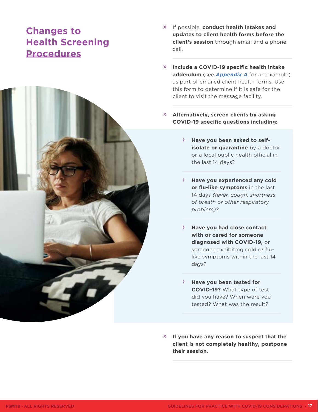## <span id="page-16-0"></span>**Changes to Health Screening Procedures**



- » If possible, **conduct health intakes and updates to client health forms before the client's session** through email and a phone call.
- » **Include a COVID-19 specific health intake addendum** (see *[Appendix A](#page-37-0)* for an example) as part of emailed client health forms. Use this form to determine if it is safe for the client to visit the massage facility.
- » **Alternatively, screen clients by asking COVID-19 specific questions including:** 
	- › **Have you been asked to selfisolate or quarantine** by a doctor or a local public health official in the last 14 days?
	- › **Have you experienced any cold or flu-like symptoms** in the last 14 days *(fever, cough, shortness of breath or other respiratory problem)*?
	- › **Have you had close contact with or cared for someone diagnosed with COVID-19,** or someone exhibiting cold or flulike symptoms within the last 14 days?
	- › **Have you been tested for COVID-19?** What type of test did you have? When were you tested? What was the result?
- » **If you have any reason to suspect that the client is not completely healthy, postpone their session.**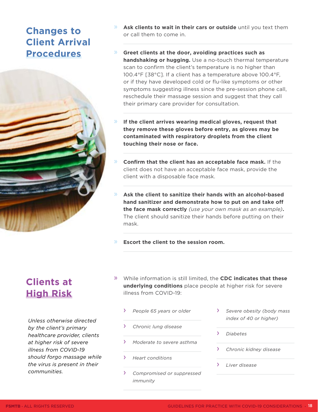## <span id="page-17-0"></span>**Changes to Client Arrival Procedures**

- » **Ask clients to wait in their cars or outside** until you text them or call them to come in.
- » **Greet clients at the door, avoiding practices such as handshaking or hugging.** Use a no-touch thermal temperature scan to confirm the client's temperature is no higher than 100.4°F [38°C]. If a client has a temperature above 100.4°F, or if they have developed cold or flu-like symptoms or other symptoms suggesting illness since the pre-session phone call, reschedule their massage session and suggest that they call their primary care provider for consultation.
- If the client arrives wearing medical gloves, request that **they remove these gloves before entry, as gloves may be contaminated with respiratory droplets from the client touching their nose or face.**
- » **Confirm that the client has an acceptable face mask.** If the client does not have an acceptable face mask, provide the client with a disposable face mask.
- » **Ask the client to sanitize their hands with an alcohol-based hand sanitizer and demonstrate how to put on and take off the face mask correctly** *(use your own mask as an example)***.**  The client should sanitize their hands before putting on their mask.
- » **Escort the client to the session room.**

## **Clients at High Risk**

*Unless otherwise directed by the client's primary healthcare provider, clients at higher risk of severe illness from COVID-19 should forgo massage while the virus is present in their communities.*

- » While information is still limited, the **CDC indicates that these underlying conditions** place people at higher risk for severe illness from COVID-19:
	- › *People 65 years or older*
	- › *Chronic lung disease*
	- › *Moderate to severe asthma*
	- › *Heart conditions*
	- › *Compromised or suppressed immunity*
- › *Severe obesity (body mass index of 40 or higher)*
- › *Diabetes*
- › *Chronic kidney disease*
- › *Liver disease*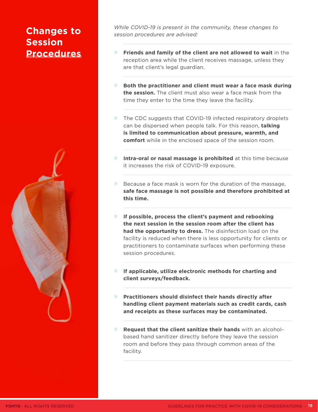## <span id="page-18-0"></span>**Changes to Session Procedures**



*While COVID-19 is present in the community, these changes to session procedures are advised:* 

- » **Friends and family of the client are not allowed to wait** in the reception area while the client receives massage, unless they are that client's legal guardian.
- » **Both the practitioner and client must wear a face mask during the session.** The client must also wear a face mask from the time they enter to the time they leave the facility.
- » The CDC suggests that COVID-19 infected respiratory droplets can be dispersed when people talk. For this reason, **talking is limited to communication about pressure, warmth, and comfort** while in the enclosed space of the session room.
- » **Intra-oral or nasal massage is prohibited** at this time because it increases the risk of COVID-19 exposure.
- $\mathbb{R}$  Because a face mask is worn for the duration of the massage, **safe face massage is not possible and therefore prohibited at this time.**
- » **If possible, process the client's payment and rebooking the next session in the session room after the client has had the opportunity to dress.** The disinfection load on the facility is reduced when there is less opportunity for clients or practitioners to contaminate surfaces when performing these session procedures.
- » **If applicable, utilize electronic methods for charting and client surveys/feedback.**
- » **Practitioners should disinfect their hands directly after handling client payment materials such as credit cards, cash and receipts as these surfaces may be contaminated.**
- » **Request that the client sanitize their hands** with an alcoholbased hand sanitizer directly before they leave the session room and before they pass through common areas of the facility.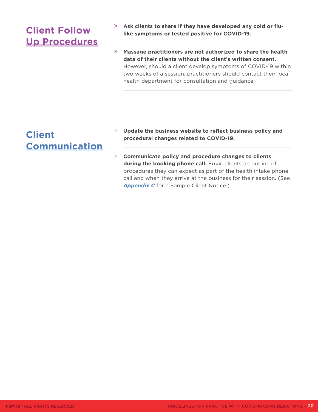## <span id="page-19-0"></span>**Client Follow Up Procedures**

- » **Ask clients to share if they have developed any cold or flulike symptoms or tested positive for COVID-19.**
- » **Massage practitioners are not authorized to share the health data of their clients without the client's written consent.** However, should a client develop symptoms of COVID-19 within two weeks of a session, practitioners should contact their local health department for consultation and guidance.

## **Client Communication**

- » **Update the business website to reflect business policy and procedural changes related to COVID-19.**
- » **Communicate policy and procedure changes to clients**  during the booking phone call. Email clients an outline of procedures they can expect as part of the health intake phone call and when they arrive at the business for their session. (See **[Appendix C](#page-41-0)** for a Sample Client Notice.)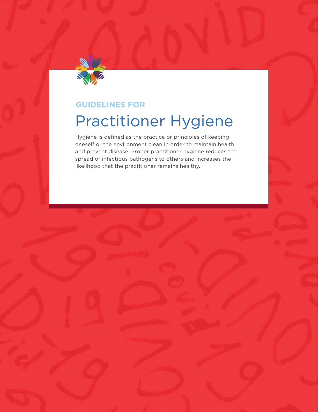<span id="page-20-0"></span>

## **GUIDELINES FOR** Practitioner Hygiene

Hygiene is defined as the practice or principles of keeping oneself or the environment clean in order to maintain health and prevent disease. Proper practitioner hygiene reduces the spread of infectious pathogens to others and increases the likelihood that the practitioner remains healthy.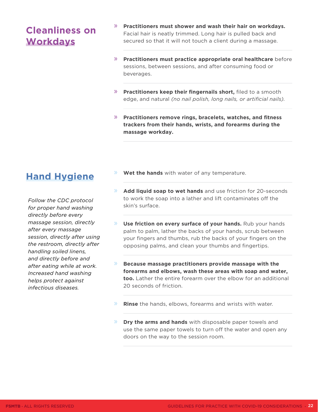## <span id="page-21-0"></span>**Cleanliness on Workdays**

- » **Practitioners must shower and wash their hair on workdays.**  Facial hair is neatly trimmed. Long hair is pulled back and secured so that it will not touch a client during a massage.
- » **Practitioners must practice appropriate oral healthcare** before sessions, between sessions, and after consuming food or beverages.
- » **Practitioners keep their fingernails short,** filed to a smooth edge, and natural *(no nail polish, long nails, or artificial nails).*
- » **Practitioners remove rings, bracelets, watches, and fitness trackers from their hands, wrists, and forearms during the massage workday.**

## **Hand Hygiene**

*Follow the CDC protocol for proper hand washing directly before every massage session, directly after every massage session, directly after using the restroom, directly after handling soiled linens, and directly before and after eating while at work. Increased hand washing helps protect against infectious diseases.*

- » **Wet the hands** with water of any temperature.
- » **Add liquid soap to wet hands** and use friction for 20-seconds to work the soap into a lather and lift contaminates off the skin's surface.
- **Use friction on every surface of your hands.** Rub your hands palm to palm, lather the backs of your hands, scrub between your fingers and thumbs, rub the backs of your fingers on the opposing palms, and clean your thumbs and fingertips.
- » **Because massage practitioners provide massage with the forearms and elbows, wash these areas with soap and water, too.** Lather the entire forearm over the elbow for an additional 20 seconds of friction.
- » **Rinse** the hands, elbows, forearms and wrists with water.
- » **Dry the arms and hands** with disposable paper towels and use the same paper towels to turn off the water and open any doors on the way to the session room.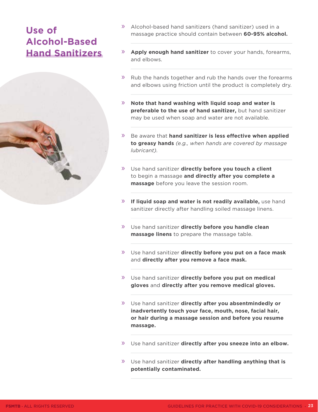## <span id="page-22-0"></span>**Use of Alcohol-Based Hand Sanitizers**



- » Alcohol-based hand sanitizers (hand sanitizer) used in a massage practice should contain between **60-95% alcohol.**
- » **Apply enough hand sanitizer** to cover your hands, forearms, and elbows.
- » Rub the hands together and rub the hands over the forearms and elbows using friction until the product is completely dry.
- » **Note that hand washing with liquid soap and water is preferable to the use of hand sanitizer,** but hand sanitizer may be used when soap and water are not available.
- » Be aware that **hand sanitizer is less effective when applied to greasy hands** *(e.g., when hands are covered by massage lubricant).*
- » Use hand sanitizer **directly before you touch a client** to begin a massage **and directly after you complete a massage** before you leave the session room.
- » **If liquid soap and water is not readily available,** use hand sanitizer directly after handling soiled massage linens.
- » Use hand sanitizer **directly before you handle clean massage linens** to prepare the massage table.
- » Use hand sanitizer **directly before you put on a face mask**  and **directly after you remove a face mask.**
- » Use hand sanitizer **directly before you put on medical gloves** and **directly after you remove medical gloves.**
- » Use hand sanitizer **directly after you absentmindedly or inadvertently touch your face, mouth, nose, facial hair, or hair during a massage session and before you resume massage.**
- » Use hand sanitizer **directly after you sneeze into an elbow.**
- » Use hand sanitizer **directly after handling anything that is potentially contaminated.**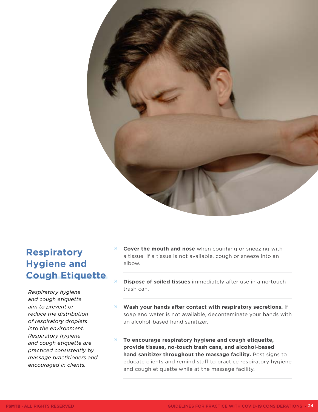<span id="page-23-0"></span>

## **Respiratory Hygiene and Cough Etiquette**

*Respiratory hygiene and cough etiquette aim to prevent or reduce the distribution of respiratory droplets into the environment. Respiratory hygiene and cough etiquette are practiced consistently by massage practitioners and encouraged in clients.*

- » **Cover the mouth and nose** when coughing or sneezing with a tissue. If a tissue is not available, cough or sneeze into an elbow.
- **Dispose of soiled tissues** immediately after use in a no-touch trash can.
- » **Wash your hands after contact with respiratory secretions.** If soap and water is not available, decontaminate your hands with an alcohol-based hand sanitizer.
- » **To encourage respiratory hygiene and cough etiquette, provide tissues, no-touch trash cans, and alcohol-based hand sanitizer throughout the massage facility.** Post signs to educate clients and remind staff to practice respiratory hygiene and cough etiquette while at the massage facility.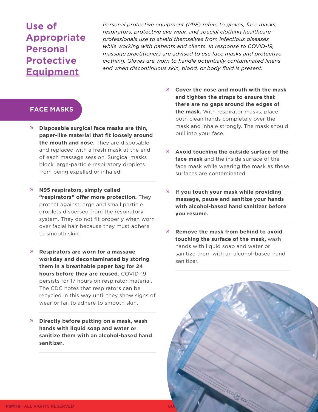## <span id="page-24-0"></span>**Use of Appropriate Personal Protective Equipment**

*Personal protective equipment (PPE) refers to gloves, face masks, respirators, protective eye wear, and special clothing healthcare professionals use to shield themselves from infectious diseases while working with patients and clients. In response to COVID-19, massage practitioners are advised to use face masks and protective clothing. Gloves are worn to handle potentially contaminated linens and when discontinuous skin, blood, or body fluid is present.* 

#### **FACE MASKS**

- » **Disposable surgical face masks are thin, paper-like material that fit loosely around the mouth and nose.** They are disposable and replaced with a fresh mask at the end of each massage session. Surgical masks block large-particle respiratory droplets from being expelled or inhaled.
- » **N95 respirators, simply called "respirators" offer more protection.** They protect against large and small particle droplets dispersed from the respiratory system. They do not fit properly when worn over facial hair because they must adhere to smooth skin.
- » **Respirators are worn for a massage workday and decontaminated by storing them in a breathable paper bag for 24 hours before they are reused.** COVID-19 persists for 17 hours on respirator material. The CDC notes that respirators can be recycled in this way until they show signs of wear or fail to adhere to smooth skin.
- » **Directly before putting on a mask, wash hands with liquid soap and water or sanitize them with an alcohol-based hand sanitizer.**
- » **Cover the nose and mouth with the mask and tighten the straps to ensure that there are no gaps around the edges of the mask.** With respirator masks, place both clean hands completely over the mask and inhale strongly. The mask should pull into your face.
- » **Avoid touching the outside surface of the face mask** and the inside surface of the face mask while wearing the mask as these surfaces are contaminated.
- » **If you touch your mask while providing massage, pause and sanitize your hands with alcohol-based hand sanitizer before you resume.**
- » **Remove the mask from behind to avoid touching the surface of the mask,** wash hands with liquid soap and water or sanitize them with an alcohol-based hand sanitizer.

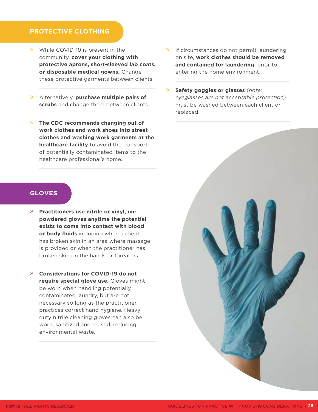#### <span id="page-25-0"></span>**PROTECTIVE CLOTHING**

- » While COVID-19 is present in the community, **cover your clothing with protective aprons, short-sleeved lab coats, or disposable medical gowns.** Change these protective garments between clients.
- » Alternatively, **purchase multiple pairs of scrubs** and change them between clients.
- » **The CDC recommends changing out of work clothes and work shoes into street clothes and washing work garments at the healthcare facility** to avoid the transport of potentially contaminated items to the healthcare professional's home.
- » If circumstances do not permit laundering on site, **work clothes should be removed and contained for laundering**, prior to entering the home environment.
- » **Safety goggles or glasses** *(note: eyeglasses are not acceptable protection)* must be washed between each client or replaced.



- » **Practitioners use nitrile or vinyl, unpowdered gloves anytime the potential exists to come into contact with blood or body fluids** including when a client has broken skin in an area where massage is provided or when the practitioner has broken skin on the hands or forearms.
- » **Considerations for COVID-19 do not require special glove use.** Gloves might be worn when handling potentially contaminated laundry, but are not necessary so long as the practitioner practices correct hand hygiene. Heavy duty nitrile cleaning gloves can also be worn, sanitized and reused, reducing environmental waste.

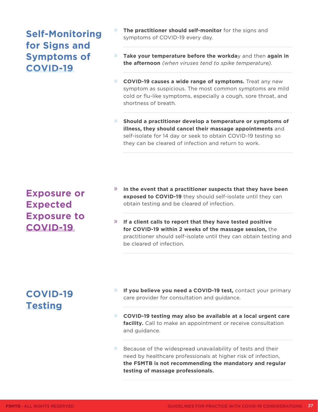## <span id="page-26-0"></span>**Self-Monitoring for Signs and Symptoms of COVID-19**

- » **The practitioner should self-monitor** for the signs and symptoms of COVID-19 every day.
- » **Take your temperature before the workda**y and then **again in the afternoon** *(when viruses tend to spike temperature)*.
- » **COVID-19 causes a wide range of symptoms.** Treat any new symptom as suspicious. The most common symptoms are mild cold or flu-like symptoms, especially a cough, sore throat, and shortness of breath.
- » **Should a practitioner develop a temperature or symptoms of illness, they should cancel their massage appointments** and self-isolate for 14 day or seek to obtain COVID-19 testing so they can be cleared of infection and return to work.

## **Exposure or Expected Exposure to COVID-19**

- » **In the event that a practitioner suspects that they have been exposed to COVID-19** they should self-isolate until they can obtain testing and be cleared of infection.
- » **If a client calls to report that they have tested positive for COVID-19 within 2 weeks of the massage session,** the practitioner should self-isolate until they can obtain testing and be cleared of infection.

## **COVID-19 Testing**

- » **If you believe you need a COVID-19 test,** contact your primary care provider for consultation and guidance.
- » **COVID-19 testing may also be available at a local urgent care facility.** Call to make an appointment or receive consultation and guidance.
- Because of the widespread unavailability of tests and their need by healthcare professionals at higher risk of infection, **the FSMTB is not recommending the mandatory and regular testing of massage professionals.**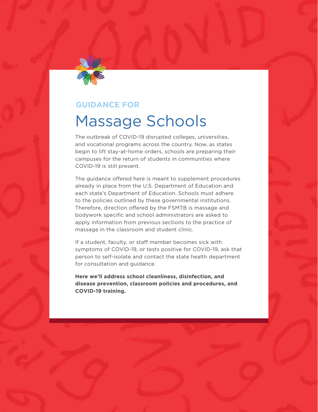<span id="page-27-0"></span>

### **GUIDANCE FOR**

## Massage Schools

The outbreak of COVID-19 disrupted colleges, universities, and vocational programs across the country. Now, as states begin to lift stay-at-home orders, schools are preparing their campuses for the return of students in communities where COVID-19 is still present.

The guidance offered here is meant to supplement procedures already in place from the U.S. Department of Education and each state's Department of Education. Schools must adhere to the policies outlined by these governmental institutions. Therefore, direction offered by the FSMTB is massage and bodywork specific and school administrators are asked to apply information from previous sections to the practice of massage in the classroom and student clinic.

If a student, faculty, or staff member becomes sick with symptoms of COVID-19, or tests positive for COVID-19, ask that person to self-isolate and contact the state health department for consultation and guidance.

**Here we'll address school cleanliness, disinfection, and disease prevention, classroom policies and procedures, and COVID-19 training.**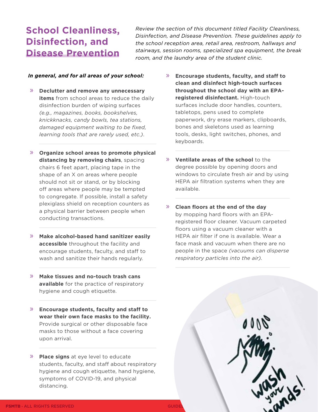## <span id="page-28-0"></span>**School Cleanliness, Disinfection, and Disease Prevention**

*Review the section of this document titled Facility Cleanliness, Disinfection, and Disease Prevention. These guidelines apply to the school reception area, retail area, restroom, hallways and stairways, session rooms, specialized spa equipment, the break room, and the laundry area of the student clinic.* 

#### *In general, and for all areas of your school:*

- » **Declutter and remove any unnecessary items** from school areas to reduce the daily disinfection burden of wiping surfaces *(e.g., magazines, books, bookshelves, knickknacks, candy bowls, tea stations, damaged equipment waiting to be fixed, learning tools that are rarely used, etc.)*.
- » **Organize school areas to promote physical distancing by removing chairs**, spacing chairs 6 feet apart, placing tape in the shape of an X on areas where people should not sit or stand, or by blocking off areas where people may be tempted to congregate. If possible, install a safety plexiglass shield on reception counters as a physical barrier between people when conducting transactions.
- » **Make alcohol-based hand sanitizer easily accessible** throughout the facility and encourage students, faculty, and staff to wash and sanitize their hands regularly.
- » **Make tissues and no-touch trash cans available** for the practice of respiratory hygiene and cough etiquette.
- » **Encourage students, faculty and staff to wear their own face masks to the facility.**  Provide surgical or other disposable face masks to those without a face covering upon arrival.
- » **Place signs** at eye level to educate students, faculty, and staff about respiratory hygiene and cough etiquette, hand hygiene, symptoms of COVID-19, and physical distancing.
- » **Encourage students, faculty, and staff to clean and disinfect high-touch surfaces throughout the school day with an EPAregistered disinfectant.** High-touch surfaces include door handles, counters, tabletops, pens used to complete paperwork, dry erase markers, clipboards, bones and skeletons used as learning tools, desks, light switches, phones, and keyboards.
- » **Ventilate areas of the school** to the degree possible by opening doors and windows to circulate fresh air and by using HEPA air filtration systems when they are available.
- » **Clean floors at the end of the day**  by mopping hard floors with an EPAregistered floor cleaner. Vacuum carpeted floors using a vacuum cleaner with a HEPA air filter if one is available. Wear a face mask and vacuum when there are no people in the space *(vacuums can disperse respiratory particles into the air).*

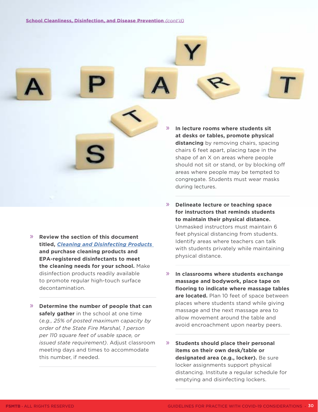» **Review the section of this document titled,** *[Cleaning and Disinfecting Products](#page-6-0)*  **and purchase cleaning products and EPA-registered disinfectants to meet the cleaning needs for your school.** Make disinfection products readily available to promote regular high-touch surface

decontamination.

» **Determine the number of people that can safely gather** in the school at one time (*e.g., 25% of posted maximum capacity by order of the State Fire Marshal, 1 person per 110 square feet of usable space, or issued state requirement)*. Adjust classroom meeting days and times to accommodate this number, if needed.

» **In lecture rooms where students sit at desks or tables, promote physical distancing** by removing chairs, spacing chairs 6 feet apart, placing tape in the shape of an X on areas where people should not sit or stand, or by blocking off areas where people may be tempted to congregate. Students must wear masks during lectures.

» **Delineate lecture or teaching space for instructors that reminds students to maintain their physical distance.**  Unmasked instructors must maintain 6 feet physical distancing from students. Identify areas where teachers can talk with students privately while maintaining physical distance.

» **In classrooms where students exchange massage and bodywork, place tape on flooring to indicate where massage tables are located.** Plan 10 feet of space between places where students stand while giving massage and the next massage area to allow movement around the table and avoid encroachment upon nearby peers.

» **Students should place their personal items on their own desk/table or designated area (e.g., locker).** Be sure locker assignments support physical distancing. Institute a regular schedule for emptying and disinfecting lockers.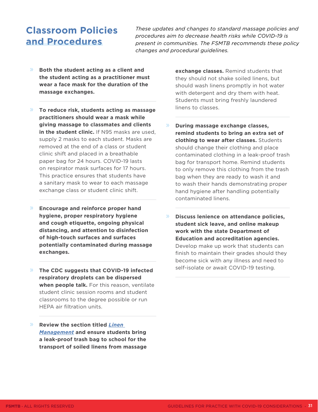## <span id="page-30-0"></span>**Classroom Policies and Procedures**

*These updates and changes to standard massage policies and procedures aim to decrease health risks while COVID-19 is present in communities. The FSMTB recommends these policy changes and procedural guidelines.* 

- » **Both the student acting as a client and the student acting as a practitioner must wear a face mask for the duration of the massage exchanges.**
- » **To reduce risk, students acting as massage practitioners should wear a mask while giving massage to classmates and clients in the student clinic.** If N95 masks are used, supply 2 masks to each student. Masks are removed at the end of a class or student clinic shift and placed in a breathable paper bag for 24 hours. COVID-19 lasts on respirator mask surfaces for 17 hours. This practice ensures that students have a sanitary mask to wear to each massage exchange class or student clinic shift.
- » **Encourage and reinforce proper hand hygiene, proper respiratory hygiene and cough etiquette, ongoing physical distancing, and attention to disinfection of high-touch surfaces and surfaces potentially contaminated during massage exchanges.**
- » **The CDC suggests that COVID-19 infected respiratory droplets can be dispersed when people talk.** For this reason, ventilate student clinic session rooms and student classrooms to the degree possible or run HEPA air filtration units.
- » **Review the section titled** *[Linen](#page-13-0)  [Management](#page-13-0)* **and ensure students bring a leak-proof trash bag to school for the transport of soiled linens from massage**

**exchange classes.** Remind students that they should not shake soiled linens, but should wash linens promptly in hot water with detergent and dry them with heat. Students must bring freshly laundered linens to classes.

- » **During massage exchange classes, remind students to bring an extra set of clothing to wear after classes.** Students should change their clothing and place contaminated clothing in a leak-proof trash bag for transport home. Remind students to only remove this clothing from the trash bag when they are ready to wash it and to wash their hands demonstrating proper hand hygiene after handling potentially contaminated linens.
- » **Discuss lenience on attendance policies, student sick leave, and online makeup work with the state Department of Education and accreditation agencies.**  Develop make up work that students can finish to maintain their grades should they become sick with any illness and need to self-isolate or await COVID-19 testing.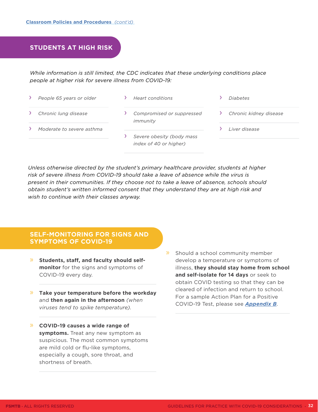#### <span id="page-31-0"></span>**STUDENTS AT HIGH RISK**

*While information is still limited, the CDC indicates that these underlying conditions place people at higher risk for severe illness from COVID-19:* 

- › *People 65 years or older*
- › *Heart conditions*

*immunity* 

- › *Chronic lung disease*
- 
- 

- › *Moderate to severe asthma*
- › *Severe obesity (body mass index of 40 or higher)*

› *Compromised or suppressed* 

- › *Chronic kidney disease*
- › *Liver disease*

› *Diabetes*

*Unless otherwise directed by the student's primary healthcare provider, students at higher risk of severe illness from COVID-19 should take a leave of absence while the virus is present in their communities. If they choose not to take a leave of absence, schools should obtain student's written informed consent that they understand they are at high risk and wish to continue with their classes anyway.* 

#### **SELF-MONITORING FOR SIGNS AND SYMPTOMS OF COVID-19**

- » **Students, staff, and faculty should selfmonitor** for the signs and symptoms of COVID-19 every day.
- » **Take your temperature before the workday** and **then again in the afternoon** *(when viruses tend to spike temperature).*
- » **COVID-19 causes a wide range of symptoms.** Treat any new symptom as suspicious. The most common symptoms are mild cold or flu-like symptoms, especially a cough, sore throat, and shortness of breath.
- » Should a school community member develop a temperature or symptoms of illness, **they should stay home from school and self-isolate for 14 days** or seek to obtain COVID testing so that they can be cleared of infection and return to school. For a sample Action Plan for a Positive COVID-19 Test, please see *[Appendix B](#page-38-0)*.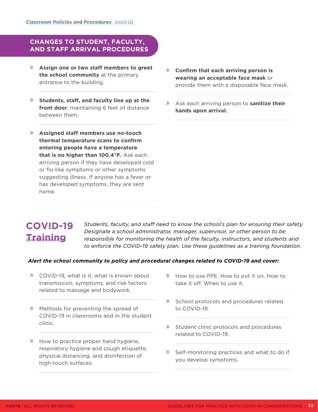#### <span id="page-32-0"></span>**CHANGES TO STUDENT, FACULTY, AND STAFF ARRIVAL PROCEDURES**

- » **Assign one or two staff members to greet the school community** at the primary entrance to the building.
- » **Students, staff, and faculty line up at the front door**, maintaining 6 feet of distance between them.
- » **Assigned staff members use no-touch thermal temperature scans to confirm entering people have a temperature that is no higher than 100.4°F.** Ask each arriving person if they have developed cold or flu-like symptoms or other symptoms suggesting illness. If anyone has a fever or has developed symptoms, they are sent home.
- » **Confirm that each arriving person is wearing an acceptable face mask** or provide them with a disposable face mask.
- » Ask each arriving person to **sanitize their hands upon arrival.**

## **COVID-19 Training**

*Students, faculty, and staff need to know the school's plan for ensuring their safety. Designate a school administrator, manager, supervisor, or other person to be responsible for monitoring the health of the faculty, instructors, and students and to enforce the COVID-19 safety plan. Use these guidelines as a training foundation.* 

#### *Alert the school community to policy and procedural changes related to COVID-19 and cover:*

- » COVID-19, what is it, what is known about transmission, symptoms, and risk factors related to massage and bodywork.
- » Methods for preventing the spread of COVID-19 in classrooms and in the student clinic.
- » How to practice proper hand hygiene, respiratory hygiene and cough etiquette, physical distancing, and disinfection of high-touch surfaces.
- » How to use PPE. How to put it on. How to take it off. When to use it.
- » School protocols and procedures related to COVID-19.
- » Student clinic protocols and procedures related to COVID-19.
- » Self-monitoring practices and what to do if you develop symptoms.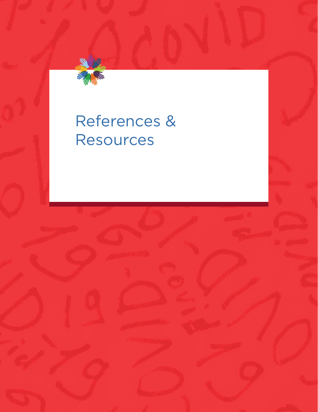<span id="page-33-0"></span>

## References & Resources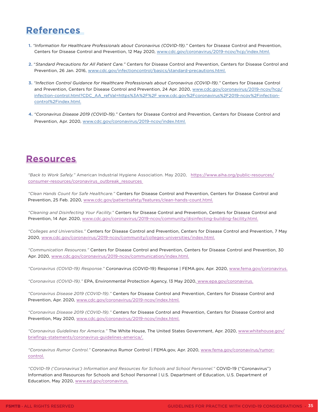## <span id="page-34-0"></span>**References**

- **1.** *"Information for Healthcare Professionals about Coronavirus (COVID-19)."* Centers for Disease Control and Prevention, Centers for Disease Control and Prevention, 12 May 2020, <www.cdc.gov/coronavirus/2019-ncov/hcp/index.html>.
- **2.** "*Standard Precautions for All Patient Care."* Centers for Disease Control and Prevention, Centers for Disease Control and Prevention, 26 Jan. 2016, [www.cdc.gov/infectioncontrol/basics/standard-precautions.html.](http://www.cdc.gov/infectioncontrol/basics/standard-precautions.html)
- **3.** *"Infection Control Guidance for Healthcare Professionals about Coronavirus (COVID-19)."* Centers for Disease Control and Prevention, Centers for Disease Control and Prevention, 24 Apr. 2020, [www.cdc.gov/coronavirus/2019-ncov/hcp/](https://www.cdc.gov/coronavirus/2019-ncov/hcp/infection-control.html?CDC_AA_refVal=https%3A%2F%2F%20www.cdc.gov%2Fcoronavirus%2F2019-ncov%2Finfection-control%2Findex.html.) [infection-control.html?CDC\\_AA\\_refVal=https%3A%2F%2F www.cdc.gov%2Fcoronavirus%2F2019-ncov%2Finfection](https://www.cdc.gov/coronavirus/2019-ncov/hcp/infection-control.html?CDC_AA_refVal=https%3A%2F%2F%20www.cdc.gov%2Fcoronavirus%2F2019-ncov%2Finfection-control%2Findex.html.)[control%2Findex.html.](https://www.cdc.gov/coronavirus/2019-ncov/hcp/infection-control.html?CDC_AA_refVal=https%3A%2F%2F%20www.cdc.gov%2Fcoronavirus%2F2019-ncov%2Finfection-control%2Findex.html.)
- **4.** *"Coronavirus Disease 2019 (COVID-19)."* Centers for Disease Control and Prevention, Centers for Disease Control and Prevention, Apr. 2020, [www.cdc.gov/coronavirus/2019-ncov/index.html.](http://www.cdc.gov/coronavirus/2019-ncov/index.html)

## **Resources**

*"Back to Work Safely."* American Industrial Hygiene Association. May 2020, [https://www.aiha.org/public-resources/](https://www.aiha.org/public-resources/consumer-resources/coronavirus_outbreak_resources) [consumer-resources/coronavirus\\_outbreak\\_resources](https://www.aiha.org/public-resources/consumer-resources/coronavirus_outbreak_resources) 

*"Clean Hands Count for Safe Healthcare."* Centers for Disease Control and Prevention, Centers for Disease Control and Prevention, 25 Feb. 2020, [www.cdc.gov/patientsafety/features/clean-hands-count.html.](http://www.cdc.gov/patientsafety/features/clean-hands-count.html)

*"Cleaning and Disinfecting Your Facility."* Centers for Disease Control and Prevention, Centers for Disease Control and Prevention, 14 Apr. 2020, [www.cdc.gov/coronavirus/2019-ncov/community/disinfecting-building-facility.html](http://www.cdc.gov/coronavirus/2019-ncov/community/disinfecting-building-facility.html).

*"Colleges and Universities."* Centers for Disease Control and Prevention, Centers for Disease Control and Prevention, 7 May 2020, [www.cdc.gov/coronavirus/2019-ncov/community/colleges-universities/index.html.](http://www.cdc.gov/coronavirus/2019-ncov/community/colleges-universities/index.html)

*"Communication Resources."* Centers for Disease Control and Prevention, Centers for Disease Control and Prevention, 30 Apr. 2020, [www.cdc.gov/coronavirus/2019-ncov/communication/index.html.](http://www.cdc.gov/coronavirus/2019-ncov/communication/index.html)

*"Coronavirus (COVID-19) Response."* Coronavirus (COVID-19) Response | FEMA.gov, Apr. 2020, [www.fema.gov/coronavirus.](https://www.fema.gov/coronavirus)

*"Coronavirus (COVID-19)."* EPA, Environmental Protection Agency, 13 May 2020, [www.epa.gov/coronavirus.](http://www.epa.gov/coronavirus)

*"Coronavirus Disease 2019 (COVID-19)."* Centers for Disease Control and Prevention, Centers for Disease Control and Prevention, Apr. 2020, [www.cdc.gov/coronavirus/2019-ncov/index.html.](http://www.cdc.gov/coronavirus/2019-ncov/index.html)

*"Coronavirus Disease 2019 (COVID-19)."* Centers for Disease Control and Prevention, Centers for Disease Control and Prevention, May 2020, [www.cdc.gov/coronavirus/2019-ncov/index.html.](http://www.cdc.gov/coronavirus/2019-ncov/index.html)

*"Coronavirus Guidelines for America."* The White House, The United States Government, Apr. 2020, [www.whitehouse.gov/](https://www.whitehouse.gov/briefings-statements/coronavirus-guidelines-america/) [briefings-statements/coronavirus-guidelines-america/.](https://www.whitehouse.gov/briefings-statements/coronavirus-guidelines-america/)

*"Coronavirus Rumor Control."* Coronavirus Rumor Control | FEMA.gov, Apr. 2020, [www.fema.gov/coronavirus/rumor](https://www.fema.gov/coronavirus/rumor-control)[control.](https://www.fema.gov/coronavirus/rumor-control)

*"COVID-19 ('Coronavirus') Information and Resources for Schools and School Personnel."* COVID-19 ("Coronavirus") Information and Resources for Schools and School Personnel | U.S. Department of Education, U.S. Department of Education, May 2020, [www.ed.gov/coronavirus.](http://www.ed.gov/coronavirus)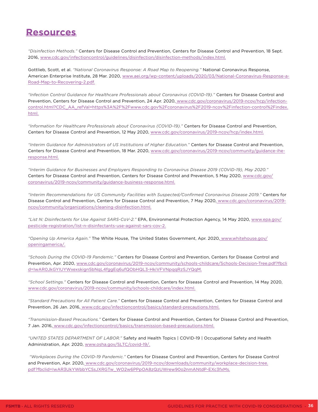## **Resources**

*"Disinfection Methods."* Centers for Disease Control and Prevention, Centers for Disease Control and Prevention, 18 Sept. 2016, [www.cdc.gov/infectioncontrol/guidelines/disinfection/disinfection-methods/index.html.](http://www.cdc.gov/infectioncontrol/guidelines/disinfection/disinfection-methods/index.html)

Gottlieb, Scott, et al. *"National Coronavirus Response: A Road Map to Reopening."* National Coronavirus Response, American Enterprise Institute, 28 Mar. 2020, [www.aei.org/wp-content/uploads/2020/03/National-Coronavirus-Response-a-](https://www.aei.org/wp-content/uploads/2020/03/National-Coronavirus-Response-a-Road-Map-to-Recovering-2.pdf)[Road-Map-to-Recovering-2.pdf.](https://www.aei.org/wp-content/uploads/2020/03/National-Coronavirus-Response-a-Road-Map-to-Recovering-2.pdf)

*"Infection Control Guidance for Healthcare Professionals about Coronavirus (COVID-19)."* Centers for Disease Control and Prevention, Centers for Disease Control and Prevention, 24 Apr. 2020, [www.cdc.gov/coronavirus/2019-ncov/hcp/infection](https://www.cdc.gov/coronavirus/2019-ncov/hcp/infection-control.html?CDC_AA_refVal=https%3A%2F%2Fwww.cdc.gov%2Fcoronavirus%2F2019-ncov%2Finfection-control%2Findex.html.)[control.html?CDC\\_AA\\_refVal=https%3A%2F%2Fwww.cdc.gov%2Fcoronavirus%2F2019-ncov%2Finfection-control%2Findex.](https://www.cdc.gov/coronavirus/2019-ncov/hcp/infection-control.html?CDC_AA_refVal=https%3A%2F%2Fwww.cdc.gov%2Fcoronavirus%2F2019-ncov%2Finfection-control%2Findex.html.) [html.](https://www.cdc.gov/coronavirus/2019-ncov/hcp/infection-control.html?CDC_AA_refVal=https%3A%2F%2Fwww.cdc.gov%2Fcoronavirus%2F2019-ncov%2Finfection-control%2Findex.html.)

*"Information for Healthcare Professionals about Coronavirus (COVID-19)."* Centers for Disease Control and Prevention, Centers for Disease Control and Prevention, 12 May 2020, [www.cdc.gov/coronavirus/2019-ncov/hcp/index.html.](http://www.cdc.gov/coronavirus/2019-ncov/hcp/index.html)

*"Interim Guidance for Administrators of US Institutions of Higher Education."* Centers for Disease Control and Prevention, Centers for Disease Control and Prevention, 18 Mar. 2020, [www.cdc.gov/coronavirus/2019-ncov/community/guidance-ihe](http://www.cdc.gov/coronavirus/2019-ncov/community/guidance-ihe-response.html)[response.html.](http://www.cdc.gov/coronavirus/2019-ncov/community/guidance-ihe-response.html)

*"Interim Guidance for Businesses and Employers Responding to Coronavirus Disease 2019 (COVID-19), May 2020."*  Centers for Disease Control and Prevention, Centers for Disease Control and Prevention, 5 May 2020, [www.cdc.gov/](https://www.cdc.gov/coronavirus/2019-ncov/community/guidance-business-response.html) [coronavirus/2019-ncov/community/guidance-business-response.html.](https://www.cdc.gov/coronavirus/2019-ncov/community/guidance-business-response.html)

*"Interim Recommendations for US Community Facilities with Suspected/Confirmed Coronavirus Disease 2019."* Centers for Disease Control and Prevention, Centers for Disease Control and Prevention, 7 May 2020, [www.cdc.gov/coronavirus/2019](https://www.cdc.gov/coronavirus/2019-ncov/community/organizations/cleaning-disinfection.html) [ncov/community/organizations/cleaning-disinfection.html.](https://www.cdc.gov/coronavirus/2019-ncov/community/organizations/cleaning-disinfection.html)

*"List N: Disinfectants for Use Against SARS-CoV-2."* EPA, Environmental Protection Agency, 14 May 2020, [www.epa.gov/](https://www.epa.gov/pesticide-registration/list-n-disinfectants-use-against-sars-cov-2) [pesticide-registration/list-n-disinfectants-use-against-sars-cov-2.](https://www.epa.gov/pesticide-registration/list-n-disinfectants-use-against-sars-cov-2)

*"Opening Up America Again."* The White House, The United States Government, Apr. 2020, [www.whitehouse.gov/](https://www.whitehouse.gov/openingamerica/) [openingamerica/.](https://www.whitehouse.gov/openingamerica/)

*"Schools During the COVID-19 Pandemic."* Centers for Disease Control and Prevention, Centers for Disease Control and Prevention, Apr. 2020, [www.cdc.gov/coronavirus/2019-ncov/community/schools-childcare/Schools-Decision-Tree.pdf?fbcli](https://www.cdc.gov/coronavirus/2019-ncov/community/schools-childcare/Schools-Decision-Tree.pdf?fbclid=IwAR0JkGYIUYWxexskign5bNqL4fggEq6ufQObHQL3-HkiVFVNpqqRzSJYQqM.) [d=IwAR0JkGYIUYWxexskign5bNqL4fggEq6ufQObHQL3-HkiVFVNpqqRzSJYQqM.](https://www.cdc.gov/coronavirus/2019-ncov/community/schools-childcare/Schools-Decision-Tree.pdf?fbclid=IwAR0JkGYIUYWxexskign5bNqL4fggEq6ufQObHQL3-HkiVFVNpqqRzSJYQqM.)

*"School Settings."* Centers for Disease Control and Prevention, Centers for Disease Control and Prevention, 14 May 2020, [www.cdc.gov/coronavirus/2019-ncov/community/schools-childcare/index.html](https://www.cdc.gov/coronavirus/2019-ncov/community/schools-childcare/index.html).

*"Standard Precautions for All Patient Care."* Centers for Disease Control and Prevention, Centers for Disease Control and Prevention, 26 Jan. 2016, [www.cdc.gov/infectioncontrol/basics/standard-precautions.html.](https://www.cdc.gov/infectioncontrol/basics/standard-precautions.html)

*"Transmission-Based Precautions."* Centers for Disease Control and Prevention, Centers for Disease Control and Prevention, 7 Jan. 2016, [www.cdc.gov/infectioncontrol/basics/transmission-based-precautions.html.](https://www.cdc.gov/infectioncontrol/basics/transmission-based-precautions.html)

*"UNITED STATES DEPARTMENT OF LABOR."* Safety and Health Topics | COVID-19 | Occupational Safety and Health Administration, Apr. 2020, [www.osha.gov/SLTC/covid-19/](https://www.osha.gov/SLTC/covid-19/).

 *"Workplaces During the COVID-19 Pandemic."* Centers for Disease Control and Prevention, Centers for Disease Control and Prevention, Apr. 2020, [www.cdc.gov/coronavirus/2019-ncov/downloads/community/workplace-decision-tree.](https://www.cdc.gov/coronavirus/2019-ncov/downloads/community/workplace-decision-tree.pdf?fbclid=IwAR3UkYWbbYCSsJXRGTw_WO2w6PPpOA8zQzUWrew90o2nmANtdP-EXc3fxMs) [pdf?fbclid=IwAR3UkYWbbYCSsJXRGTw\\_WO2w6PPpOA8zQzUWrew90o2nmANtdP-EXc3fxMs.](https://www.cdc.gov/coronavirus/2019-ncov/downloads/community/workplace-decision-tree.pdf?fbclid=IwAR3UkYWbbYCSsJXRGTw_WO2w6PPpOA8zQzUWrew90o2nmANtdP-EXc3fxMs)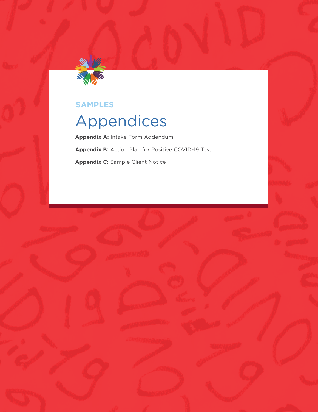<span id="page-36-0"></span>

### **SAMPLES**

## Appendices

**Appendix A:** Intake Form Addendum **Appendix B:** Action Plan for Positive COVID-19 Test **Appendix C:** Sample Client Notice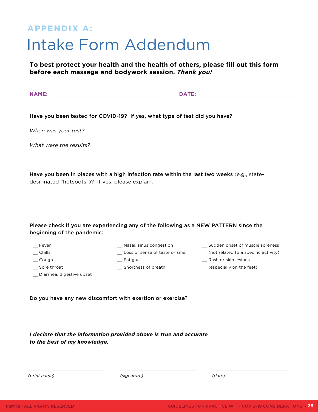## <span id="page-37-0"></span>**APPENDIX A:** Intake Form Addendum

**To best protect your health and the health of others, please fill out this form before each massage and bodywork session.** *Thank you!*

**NAME: DATE:**

Have you been tested for COVID-19? If yes, what type of test did you have?

*When was your test?*

*What were the results?* 

Have you been in places with a high infection rate within the last two weeks (e.g., statedesignated "hotspots")? If yes, please explain.

#### Please check if you are experiencing any of the following as a NEW PATTERN since the beginning of the pandemic:

- \_\_ Fever
- $\equiv$  Chills
- 
- \_\_ Nasal, sinus congestion \_\_ Loss of sense of taste or smell
- \_\_ Sudden onset of muscle soreness (not related to a specific activity)

- \_\_ Cough
- \_\_ Sore throat
- \_\_ Fatigue
	- \_\_ Shortness of breath
- \_\_ Rash or skin lesions (especially on the feet)

\_\_ Diarrhea, digestive upset

Do you have any new discomfort with exertion or exercise?

*I declare that the information provided above is true and accurate to the best of my knowledge.*

*(print name)*

*(signature)*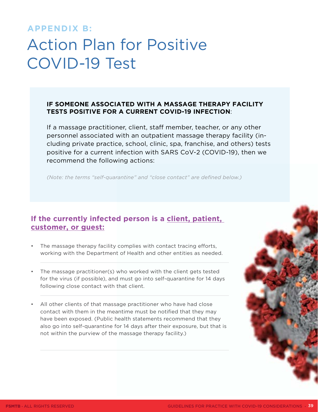### <span id="page-38-0"></span>**APPENDIX B:**

## Action Plan for Positive COVID-19 Test

#### **IF SOMEONE ASSOCIATED WITH A MASSAGE THERAPY FACILITY TESTS POSITIVE FOR A CURRENT COVID-19 INFECTION**:

If a massage practitioner, client, staff member, teacher, or any other personnel associated with an outpatient massage therapy facility (including private practice, school, clinic, spa, franchise, and others) tests positive for a current infection with SARS CoV-2 (COVID-19), then we recommend the following actions:

*(Note: the terms "self-quarantine" and "close contact" are defined below.)*

### **If the currently infected person is a client, patient, customer, or guest:**

- The massage therapy facility complies with contact tracing efforts, working with the Department of Health and other entities as needed.
- The massage practitioner(s) who worked with the client gets tested for the virus (if possible), and must go into self-quarantine for 14 days following close contact with that client.
- All other clients of that massage practitioner who have had close contact with them in the meantime must be notified that they may have been exposed. (Public health statements recommend that they also go into self-quarantine for 14 days after their exposure, but that is not within the purview of the massage therapy facility.)

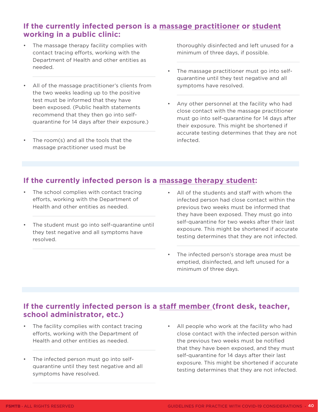### **If the currently infected person is a massage practitioner or student working in a public clinic:**

- The massage therapy facility complies with contact tracing efforts, working with the Department of Health and other entities as needed.
- All of the massage practitioner's clients from the two weeks leading up to the positive test must be informed that they have been exposed. (Public health statements recommend that they then go into selfquarantine for 14 days after their exposure.)
- The room(s) and all the tools that the massage practitioner used must be

thoroughly disinfected and left unused for a minimum of three days, if possible.

- The massage practitioner must go into selfquarantine until they test negative and all symptoms have resolved.
- Any other personnel at the facility who had close contact with the massage practitioner must go into self-quarantine for 14 days after their exposure. This might be shortened if accurate testing determines that they are not infected.

### **If the currently infected person is a massage therapy student:**

- The school complies with contact tracing efforts, working with the Department of Health and other entities as needed.
- The student must go into self-quarantine until they test negative and all symptoms have resolved.
- All of the students and staff with whom the infected person had close contact within the previous two weeks must be informed that they have been exposed. They must go into self-quarantine for two weeks after their last exposure. This might be shortened if accurate testing determines that they are not infected.
- The infected person's storage area must be emptied, disinfected, and left unused for a minimum of three days.

### **If the currently infected person is a staff member (front desk, teacher, school administrator, etc.)**

- The facility complies with contact tracing efforts, working with the Department of Health and other entities as needed.
- The infected person must go into selfquarantine until they test negative and all symptoms have resolved.
- All people who work at the facility who had close contact with the infected person within the previous two weeks must be notified that they have been exposed, and they must self-quarantine for 14 days after their last exposure. This might be shortened if accurate testing determines that they are not infected.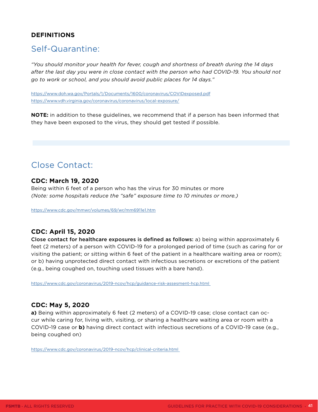#### **DEFINITIONS**

### Self-Quarantine:

*"You should monitor your health for fever, cough and shortness of breath during the 14 days after the last day you were in close contact with the person who had COVID-19. You should not go to work or school, and you should avoid public places for 14 days."*

<https://www.doh.wa.gov/Portals/1/Documents/1600/coronavirus/COVIDexposed.pdf> <https://www.vdh.virginia.gov/coronavirus/coronavirus/local-exposure/>

**NOTE:** in addition to these guidelines, we recommend that if a person has been informed that they have been exposed to the virus, they should get tested if possible.

## Close Contact:

#### **CDC: March 19, 2020**

Being within 6 feet of a person who has the virus for 30 minutes or more *(Note: some hospitals reduce the "safe" exposure time to 10 minutes or more.)*

<https://www.cdc.gov/mmwr/volumes/69/wr/mm6911e1.htm>

#### **CDC: April 15, 2020**

Close contact for healthcare exposures is defined as follows: a) being within approximately 6 feet (2 meters) of a person with COVID-19 for a prolonged period of time (such as caring for or visiting the patient; or sitting within 6 feet of the patient in a healthcare waiting area or room); or b) having unprotected direct contact with infectious secretions or excretions of the patient (e.g., being coughed on, touching used tissues with a bare hand).

<https://www.cdc.gov/coronavirus/2019-ncov/hcp/guidance-risk-assesment-hcp.html>

#### **CDC: May 5, 2020**

**a)** Being within approximately 6 feet (2 meters) of a COVID-19 case; close contact can occur while caring for, living with, visiting, or sharing a healthcare waiting area or room with a COVID-19 case or **b)** having direct contact with infectious secretions of a COVID-19 case (e.g., being coughed on)

<https://www.cdc.gov/coronavirus/2019-ncov/hcp/clinical-criteria.html>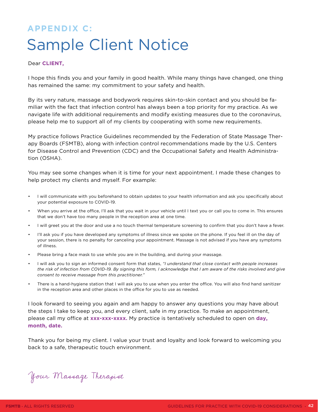## <span id="page-41-0"></span>**APPENDIX C:** Sample Client Notice

#### Dear **CLIENT,**

I hope this finds you and your family in good health. While many things have changed, one thing has remained the same: my commitment to your safety and health.

By its very nature, massage and bodywork requires skin-to-skin contact and you should be familiar with the fact that infection control has always been a top priority for my practice. As we navigate life with additional requirements and modify existing measures due to the coronavirus, please help me to support all of my clients by cooperating with some new requirements.

My practice follows Practice Guidelines recommended by the Federation of State Massage Therapy Boards (FSMTB), along with infection control recommendations made by the U.S. Centers for Disease Control and Prevention (CDC) and the Occupational Safety and Health Administration (OSHA).

You may see some changes when it is time for your next appointment. I made these changes to help protect my clients and myself. For example:

- I will communicate with you beforehand to obtain updates to your health information and ask you specifically about your potential exposure to COVID-19.
- When you arrive at the office, I'll ask that you wait in your vehicle until I text you or call you to come in. This ensures that we don't have too many people in the reception area at one time.
- I will greet you at the door and use a no touch thermal temperature screening to confirm that you don't have a fever.
- I'll ask you if you have developed any symptoms of illness since we spoke on the phone. If you feel ill on the day of your session, there is no penalty for canceling your appointment. Massage is not advised if you have any symptoms of illness.
- Please bring a face mask to use while you are in the building, and during your massage.
- I will ask you to sign an informed consent form that states, *"I understand that close contact with people increases the risk of infection from COVID-19. By signing this form, I acknowledge that I am aware of the risks involved and give consent to receive massage from this practitioner."*
- There is a hand-hygiene station that I will ask you to use when you enter the office. You will also find hand sanitizer in the reception area and other places in the office for you to use as needed.

I look forward to seeing you again and am happy to answer any questions you may have about the steps I take to keep you, and every client, safe in my practice. To make an appointment, please call my office at **xxx-xxx-xxxx.** My practice is tentatively scheduled to open on **day, month, date.**

Thank you for being my client. I value your trust and loyalty and look forward to welcoming you back to a safe, therapeutic touch environment.

Your Massage Therapist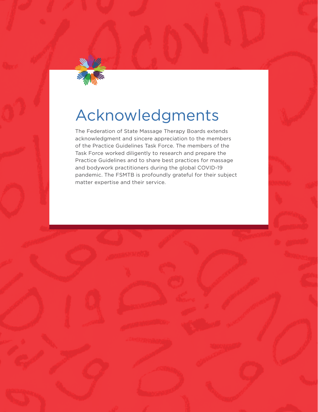

## Acknowledgments

The Federation of State Massage Therapy Boards extends acknowledgment and sincere appreciation to the members of the Practice Guidelines Task Force. The members of the Task Force worked diligently to research and prepare the Practice Guidelines and to share best practices for massage and bodywork practitioners during the global COVID-19 pandemic. The FSMTB is profoundly grateful for their subject matter expertise and their service.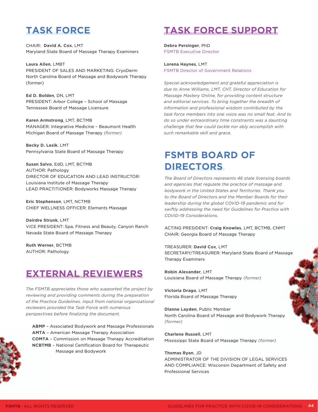## **TASK FORCE**

CHAIR: **David A. Cox**, LMT Maryland State Board of Massage Therapy Examiners

**Laura Allen**, LMBT PRESIDENT OF SALES AND MARKETING: CryoDerm North Carolina Board of Massage and Bodywork Therapy (former)

**Ed D. Bolden**, DN, LMT PRESIDENT: Arbor College – School of Massage Tennessee Board of Massage Licensure

**Karen Armstrong**, LMT, BCTMB MANAGER: Integrative Medicine – Beaumont Health Michigan Board of Massage Therapy *(former)*

**Becky D. Lesik**, LMT Pennsylvania State Board of Massage Therapy

**Susan Salvo**, EdD, LMT, BCTMB AUTHOR: Pathology DIRECTOR OF EDUCATION AND LEAD INSTRUCTOR: Louisiana Institute of Massage Therapy LEAD PRACTITIONER: Bodyworks Massage Therapy

**Eric Stephenson**, LMT, NCTMB CHIEF WELLNESS OFFICER: Elements Massage

**Deirdre Strunk**, LMT VICE PRESIDENT: Spa, Fitness and Beauty, Canyon Ranch Nevada State Board of Massage Therapy

**Ruth Werner**, BCTMB AUTHOR: Pathology

## **EXTERNAL REVIEWERS**

*The FSMTB appreciates those who supported the project by reviewing and providing comments during the preparation of the Practice Guidelines. Input from national organizational reviewers provided the Task Force with numerous perspectives before finalizing the document.*



**ABMP** – Associated Bodywork and Massage Professionals **AMTA** – American Massage Therapy Association **COMTA** – Commission on Massage Therapy Accreditation **NCBTMB** – National Certification Board for Therapeutic Massage and Bodywork

## **TASK FORCE SUPPORT**

**Debra Persinger**, PhD FSMTB Executive Director

**Lorena Haynes**, LMT FSMTB Director of Government Relations

*Special acknowledgement and grateful appreciation is due to Anne Williams, LMT, CHT, Director of Education for Massage Mastery Online, for providing content structure and editorial services. To bring together the breadth of information and professional wisdom contributed by the task force members into one voice was no small feat. And to do so under extraordinary time constraints was a daunting challenge that few could tackle nor ably accomplish with such remarkable skill and grace.*

## **FSMTB BOARD OF DIRECTORS**

*The Board of Directors represents 46 state licensing boards and agencies that regulate the practice of massage and bodywork in the United States and Territories. Thank you to the Board of Directors and the Member Boards for their leadership during the global COVID-19 pandemic and for swiftly addressing the need for Guidelines for Practice with COVID-19 Considerations.*

ACTING PRESIDENT: **Craig Knowles**, LMT, BCTMB, CNMT CHAIR: Georgia Board of Massage Therapy

TREASURER: **David Cox**, LMT SECRETARY/TREASURER: Maryland State Board of Massage Therapy Examiners

**Robin Alexander**, LMT Louisiana Board of Massage Therapy *(former)*

**Victoria Drago**, LMT Florida Board of Massage Therapy

**Dianne Layden**, Public Member North Carolina Board of Massage and Bodywork Therapy *(former)*

**Charlene Russell**, LMT Mississippi State Board of Massage Therapy *(former)*

#### **Thomas Ryan**, JD

ADMINISTRATOR OF THE DIVISION OF LEGAL SERVICES AND COMPLIANCE: Wisconsin Department of Safety and Professional Services